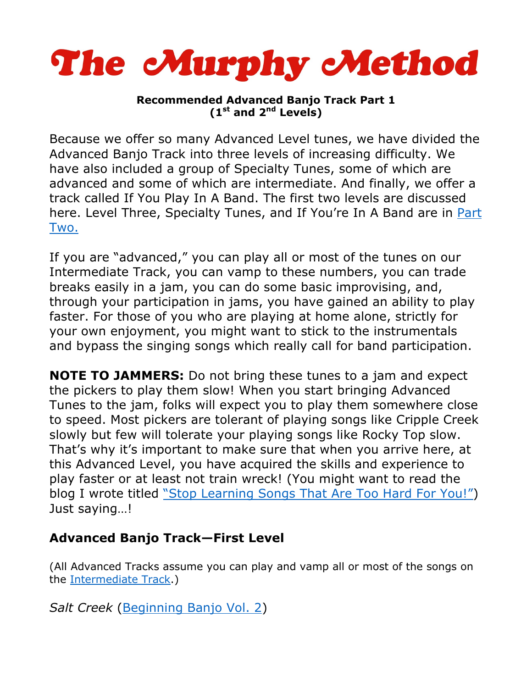

## **Recommended Advanced Banjo Track Part 1 (1st and 2nd Levels)**

Because we offer so many Advanced Level tunes, we have divided the Advanced Banjo Track into three levels of increasing difficulty. We have also included a group of Specialty Tunes, some of which are advanced and some of which are intermediate. And finally, we offer a track called If You Play In A Band. The first two levels are discussed here. Level Three, Specialty Tunes, and If You're In A Band are in Part [Two.](http://www.murphymethod.com/userfiles/file/AdvancedBanjoTrack2.pdf)

If you are "advanced," you can play all or most of the tunes on our Intermediate Track, you can vamp to these numbers, you can trade breaks easily in a jam, you can do some basic improvising, and, through your participation in jams, you have gained an ability to play faster. For those of you who are playing at home alone, strictly for your own enjoyment, you might want to stick to the instrumentals and bypass the singing songs which really call for band participation.

**NOTE TO JAMMERS:** Do not bring these tunes to a jam and expect the pickers to play them slow! When you start bringing Advanced Tunes to the jam, folks will expect you to play them somewhere close to speed. Most pickers are tolerant of playing songs like Cripple Creek slowly but few will tolerate your playing songs like Rocky Top slow. That's why it's important to make sure that when you arrive here, at this Advanced Level, you have acquired the skills and experience to play faster or at least not train wreck! (You might want to read the blog I wrote titled ["Stop Learning Songs That Are Too Hard For You!"\)](https://www.banjohangout.org/blog/33622) Just saying…!

## **Advanced Banjo Track—First Level**

(All Advanced Tracks assume you can play and vamp all or most of the songs on the [Intermediate Track.\)](http://www.murphymethod.com/userfiles/file/IntermediateBanjoTrack2015.pdf)

*Salt Creek* [\(Beginning Banjo Vol. 2\)](http://www.murphymethod.com/index.cfm?event=pages.product&pid=72)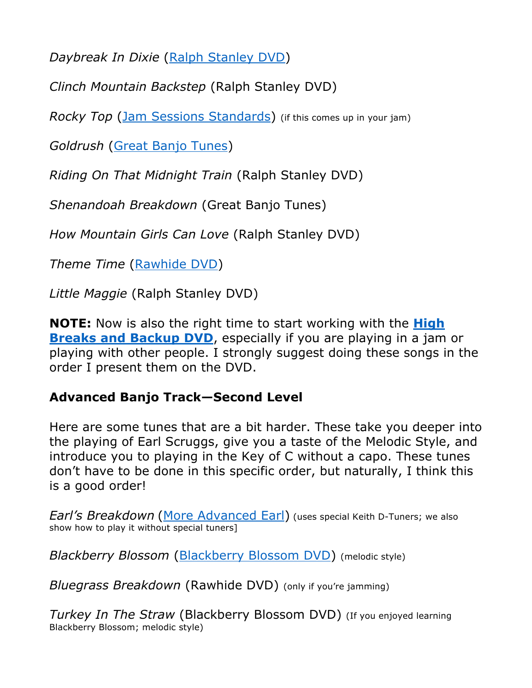*Daybreak In Dixie* [\(Ralph Stanley DVD\)](http://www.murphymethod.com/index.cfm?event=pages.product&pid=76)

*Clinch Mountain Backstep* (Ralph Stanley DVD)

*Rocky Top* [\(Jam Sessions Standards\)](http://www.murphymethod.com/index.cfm?event=pages.product&pid=73) (if this comes up in your jam)

*Goldrush* [\(Great Banjo Tunes\)](http://www.murphymethod.com/index.cfm?event=pages.product&pid=7)

*Riding On That Midnight Train* (Ralph Stanley DVD)

*Shenandoah Breakdown* (Great Banjo Tunes)

*How Mountain Girls Can Love* (Ralph Stanley DVD)

*Theme Time* [\(Rawhide DVD\)](http://www.murphymethod.com/index.cfm?event=pages.product&pid=15)

*Little Maggie* (Ralph Stanley DVD)

**NOTE:** Now is also the right time to start working with the **[High](http://www.murphymethod.com/index.cfm?event=pages.product&pid=8)  [Breaks and Backup DVD](http://www.murphymethod.com/index.cfm?event=pages.product&pid=8)**, especially if you are playing in a jam or playing with other people. I strongly suggest doing these songs in the order I present them on the DVD.

## **Advanced Banjo Track—Second Level**

Here are some tunes that are a bit harder. These take you deeper into the playing of Earl Scruggs, give you a taste of the Melodic Style, and introduce you to playing in the Key of C without a capo. These tunes don't have to be done in this specific order, but naturally, I think this is a good order!

*Earl's Breakdown* ([More Advanced Earl\)](http://www.murphymethod.com/index.cfm?event=pages.product&pid=5) (uses special Keith D-Tuners; we also show how to play it without special tuners]

*Blackberry Blossom* [\(Blackberry Blossom DVD\)](http://www.murphymethod.com/index.cfm?event=pages.product&pid=17) (melodic style)

*Bluegrass Breakdown* (Rawhide DVD) (only if you're jamming)

*Turkey In The Straw* (Blackberry Blossom DVD) (If you enjoyed learning Blackberry Blossom; melodic style)